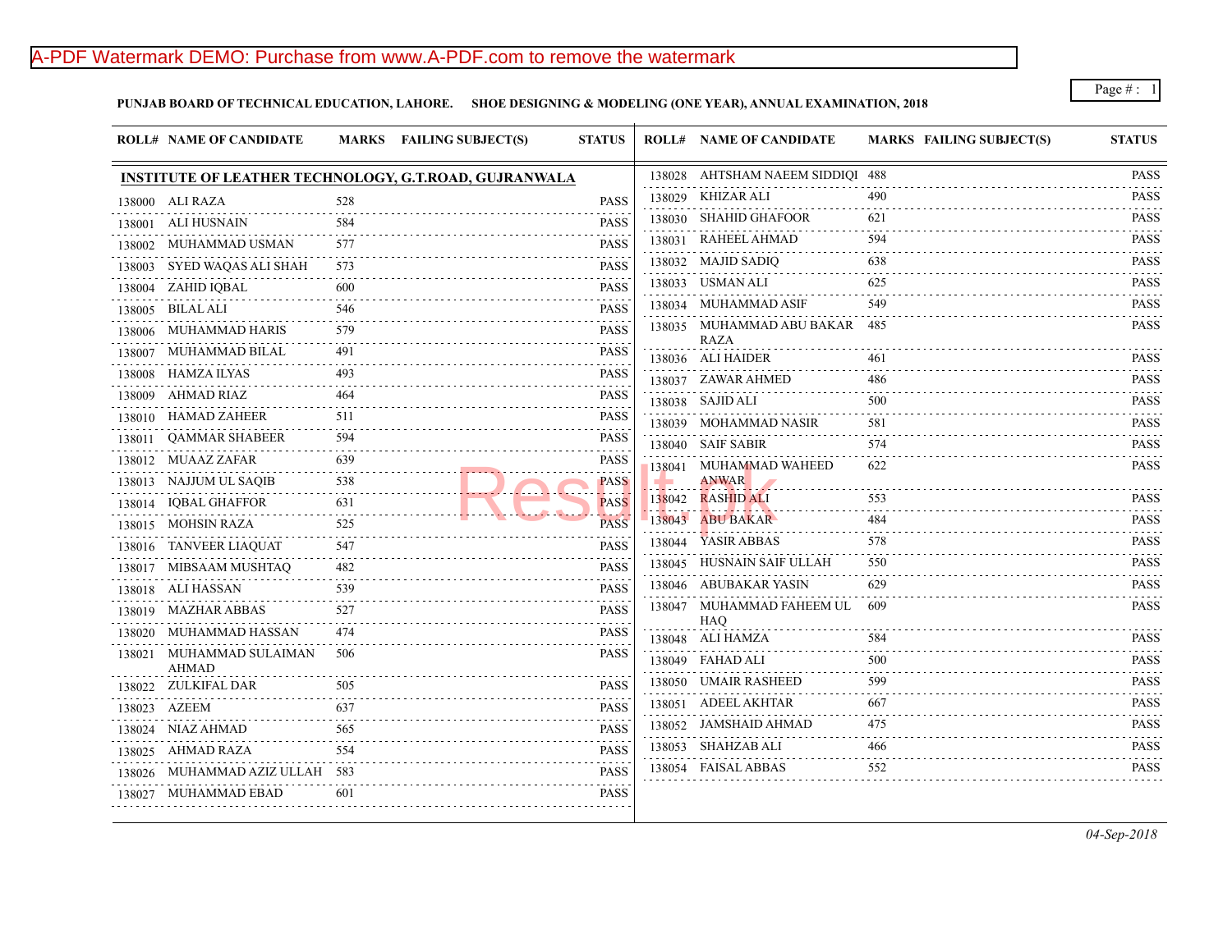## A-PDF Watermark DEMO: Purchase from www.A-PDF.com to remove the watermark

**PUNJAB BOARD OF TECHNICAL EDUCATION, LAHORE. SHOE DESIGNING & MODELING (ONE YEAR), ANNUAL EXAMINATION, 2018**

|        | <b>ROLL# NAME OF CANDIDATE</b>           |                             | MARKS FAILING SUBJECT(S)                                     | <b>STATUS</b>                                                                                                                                                            | <b>ROLL# NAME OF CANDIDATE</b>        | <b>MARKS FAIL</b> |
|--------|------------------------------------------|-----------------------------|--------------------------------------------------------------|--------------------------------------------------------------------------------------------------------------------------------------------------------------------------|---------------------------------------|-------------------|
|        |                                          |                             | <b>INSTITUTE OF LEATHER TECHNOLOGY, G.T.ROAD, GUJRANWALA</b> |                                                                                                                                                                          | 138028 AHTSHAM NAEEM SIDDIQI 488      |                   |
|        | 138000 ALI RAZA                          | 528                         |                                                              | <b>PASS</b>                                                                                                                                                              | 138029 KHIZAR ALI                     | 490               |
|        | 138001 ALI HUSNAIN                       | $\sim$ $\sim$ $\sim$<br>584 |                                                              | <b>PASS</b>                                                                                                                                                              | 138030 SHAHID GHAFOOR                 | 621               |
|        | 138002 MUHAMMAD USMAN                    | 577                         |                                                              | <b>PASS</b>                                                                                                                                                              | 138031 RAHEEL AHMAD                   | 594               |
| 138003 | SYED WAQAS ALI SHAH                      | 573                         |                                                              | <b>PASS</b>                                                                                                                                                              | 138032 MAJID SADIQ                    | 638               |
|        | 138004 ZAHID IQBAL                       | 600                         |                                                              | <b>PASS</b>                                                                                                                                                              | 138033 USMAN ALI                      | 625               |
|        | 138005 BILAL ALI                         | 546                         |                                                              | <b>PASS</b>                                                                                                                                                              | 138034 MUHAMMAD ASIF                  | 549               |
|        | 138006 MUHAMMAD HARIS                    | 579                         |                                                              | <b>PASS</b>                                                                                                                                                              | 138035 MUHAMMAD ABU BAKAR 485<br>RAZA |                   |
|        | 138007 MUHAMMAD BILAL                    | 491<br>2.2.2.2.2            |                                                              | <b>PASS</b>                                                                                                                                                              | 138036 ALI HAIDER                     | 461               |
|        | 138008 HAMZA ILYAS                       | 493                         |                                                              | .<br><b>PASS</b><br>$\frac{1}{2} \left( \frac{1}{2} \right) \left( \frac{1}{2} \right) \left( \frac{1}{2} \right) \left( \frac{1}{2} \right) \left( \frac{1}{2} \right)$ | 138037 ZAWAR AHMED                    | 486               |
|        | 138009 AHMAD RIAZ                        | 464                         |                                                              | <b>PASS</b>                                                                                                                                                              | 138038 SAJID ALI                      | 500               |
|        | 138010 HAMAD ZAHEER                      | 511                         |                                                              | <b>PASS</b>                                                                                                                                                              | 138039 MOHAMMAD NASIR                 | 581               |
|        | 138011 QAMMAR SHABEER                    | 594<br>.                    |                                                              | <b>PASS</b>                                                                                                                                                              | 138040 SAIF SABIR                     | 574               |
|        | 138012 MUAAZ ZAFAR                       | 639<br>.                    |                                                              | <b>PASS</b>                                                                                                                                                              | 138041 MUHAMMAD WAHEED                | 622               |
|        | 138013 NAJJUM UL SAQIB                   | 538                         |                                                              | <b>PASS</b>                                                                                                                                                              | ANWAR                                 |                   |
|        | 138014 IQBAL GHAFFOR                     | 631<br>.                    |                                                              | <b>PASS</b>                                                                                                                                                              | 138042 RASHID ALI                     | 553               |
|        | 138015 MOHSIN RAZA                       | 525                         |                                                              | <b>PASS</b>                                                                                                                                                              | 138043 ABU BAKAR                      | 484               |
|        | 138016 TANVEER LIAQUAT                   | 547                         |                                                              | <b>PASS</b>                                                                                                                                                              | 138044 YASIR ABBAS                    | 578               |
|        | 138017 MIBSAAM MUSHTAQ                   | 482                         |                                                              | <b>PASS</b>                                                                                                                                                              | 138045 HUSNAIN SAIF ULLAH             | 550               |
|        | 138018 ALI HASSAN                        | 539                         |                                                              | <b>PASS</b>                                                                                                                                                              | 138046 ABUBAKAR YASIN                 | 629               |
|        | 138019 MAZHAR ABBAS                      | 527                         |                                                              | <b>PASS</b>                                                                                                                                                              | 138047 MUHAMMAD FAHEEM UL<br>HAQ      | -609              |
|        | 138020 MUHAMMAD HASSAN                   | 474                         |                                                              | <b>PASS</b>                                                                                                                                                              | 138048 ALI HAMZA                      | 584               |
|        | 138021 MUHAMMAD SULAIMAN<br><b>AHMAD</b> | 506                         |                                                              | <b>PASS</b>                                                                                                                                                              | 138049 FAHAD ALI                      | 500               |
|        | 138022 ZULKIFAL DAR                      | 505                         |                                                              | <b>PASS</b>                                                                                                                                                              | 138050 UMAIR RASHEED                  | 599               |
|        | 138023 AZEEM                             | 637                         |                                                              | <b>PASS</b>                                                                                                                                                              | 138051 ADEEL AKHTAR                   | 667               |
|        | 138024 NIAZ AHMAD<br><u>.</u>            | 565                         |                                                              | <b>PASS</b>                                                                                                                                                              | 138052 JAMSHAID AHMAD                 | 475               |
|        | 138025 AHMAD RAZA                        | 554                         |                                                              | <b>PASS</b>                                                                                                                                                              | 138053 SHAHZAB ALI                    | 466               |
|        | 138026 MUHAMMAD AZIZ ULLAH 583           |                             |                                                              | <b>PASS</b>                                                                                                                                                              | 138054 FAISAL ABBAS                   | 552               |
|        | 138027 MUHAMMAD EBAD                     | 601                         |                                                              | <b>PASS</b>                                                                                                                                                              |                                       |                   |
|        |                                          |                             |                                                              |                                                                                                                                                                          |                                       |                   |